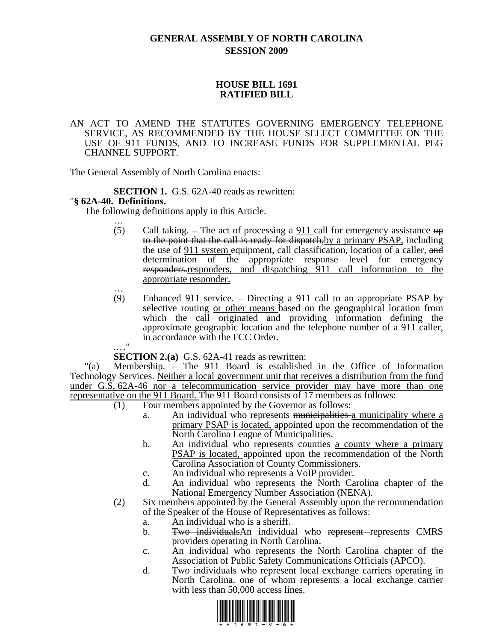# **GENERAL ASSEMBLY OF NORTH CAROLINA SESSION 2009**

### **HOUSE BILL 1691 RATIFIED BILL**

#### AN ACT TO AMEND THE STATUTES GOVERNING EMERGENCY TELEPHONE SERVICE, AS RECOMMENDED BY THE HOUSE SELECT COMMITTEE ON THE USE OF 911 FUNDS, AND TO INCREASE FUNDS FOR SUPPLEMENTAL PEG CHANNEL SUPPORT.

The General Assembly of North Carolina enacts:

**SECTION 1.** G.S. 62A-40 reads as rewritten: "**§ 62A-40. Definitions.** 

The following definitions apply in this Article. …

- (5) Call taking. The act of processing a  $911$  call for emergency assistance  $up$ to the point that the call is ready for dispatch, by a primary PSAP, including the use of 911 system equipment, call classification, location of a caller, and determination of the appropriate response level for emergency responders.responders, and dispatching 911 call information to the appropriate responder. …
- (9) Enhanced 911 service. Directing a 911 call to an appropriate PSAP by selective routing or other means based on the geographical location from which the call originated and providing information defining the approximate geographic location and the telephone number of a 911 caller, in accordance with the FCC Order.

.…" **SECTION 2.(a)** G.S. 62A-41 reads as rewritten:

"(a) Membership. – The 911 Board is established in the Office of Information Technology Services. Neither a local government unit that receives a distribution from the fund under G.S. 62A-46 nor a telecommunication service provider may have more than one representative on the 911 Board. The 911 Board consists of 17 members as follows:

- (1) Four members appointed by the Governor as follows:
	- a. An individual who represents municipalities a municipality where a primary PSAP is located, appointed upon the recommendation of the North Carolina League of Municipalities.
	- b. An individual who represents equation- A county where a primary PSAP is located, appointed upon the recommendation of the North Carolina Association of County Commissioners.
	- c. An individual who represents a VoIP provider.
	- d. An individual who represents the North Carolina chapter of the National Emergency Number Association (NENA).
- (2) Six members appointed by the General Assembly upon the recommendation of the Speaker of the House of Representatives as follows:
	- a. An individual who is a sheriff.
	- b. Two individuals An individual who represent represents CMRS providers operating in North Carolina.
	- c. An individual who represents the North Carolina chapter of the Association of Public Safety Communications Officials (APCO).
	- d. Two individuals who represent local exchange carriers operating in North Carolina, one of whom represents a local exchange carrier with less than 50,000 access lines.

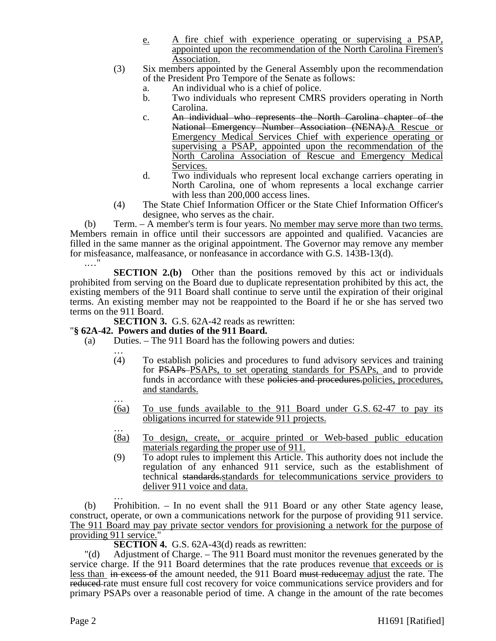- e. A fire chief with experience operating or supervising a PSAP, appointed upon the recommendation of the North Carolina Firemen's Association.
- (3) Six members appointed by the General Assembly upon the recommendation of the President Pro Tempore of the Senate as follows:
	- a. An individual who is a chief of police.
	- b. Two individuals who represent CMRS providers operating in North Carolina.
	- c. An individual who represents the North Carolina chapter of the National Emergency Number Association (NENA). A Rescue or Emergency Medical Services Chief with experience operating or supervising a PSAP, appointed upon the recommendation of the North Carolina Association of Rescue and Emergency Medical Services.
	- d. Two individuals who represent local exchange carriers operating in North Carolina, one of whom represents a local exchange carrier with less than 200,000 access lines.
- (4) The State Chief Information Officer or the State Chief Information Officer's designee, who serves as the chair.

(b) Term. – A member's term is four years. No member may serve more than two terms. Members remain in office until their successors are appointed and qualified. Vacancies are filled in the same manner as the original appointment. The Governor may remove any member for misfeasance, malfeasance, or nonfeasance in accordance with G.S. 143B-13(d). .…"

**SECTION 2.(b)** Other than the positions removed by this act or individuals prohibited from serving on the Board due to duplicate representation prohibited by this act, the existing members of the 911 Board shall continue to serve until the expiration of their original terms. An existing member may not be reappointed to the Board if he or she has served two terms on the 911 Board.

**SECTION 3.** G.S. 62A-42 reads as rewritten:

## "**§ 62A-42. Powers and duties of the 911 Board.**

- (a) Duties. The 911 Board has the following powers and duties:
	- … (4) To establish policies and procedures to fund advisory services and training for PSAPs PSAPs, to set operating standards for PSAPs, and to provide funds in accordance with these policies and procedures. policies, procedures, and standards. …
	- (6a) To use funds available to the 911 Board under G.S. 62-47 to pay its obligations incurred for statewide 911 projects. …
	- (8a) To design, create, or acquire printed or Web-based public education materials regarding the proper use of 911.
	- (9) To adopt rules to implement this Article. This authority does not include the regulation of any enhanced 911 service, such as the establishment of technical standards.standards for telecommunications service providers to

deliver 911 voice and data.<br>
…<br>
(b) Prohibition. – In no event shall the 911 Board or any other State agency lease, construct, operate, or own a communications network for the purpose of providing 911 service. The 911 Board may pay private sector vendors for provisioning a network for the purpose of providing 911 service."

**SECTION 4.** G.S. 62A-43(d) reads as rewritten:

"(d) Adjustment of Charge. – The 911 Board must monitor the revenues generated by the service charge. If the 911 Board determines that the rate produces revenue that exceeds or is less than in excess of the amount needed, the 911 Board must reducemay adjust the rate. The reduced rate must ensure full cost recovery for voice communications service providers and for primary PSAPs over a reasonable period of time. A change in the amount of the rate becomes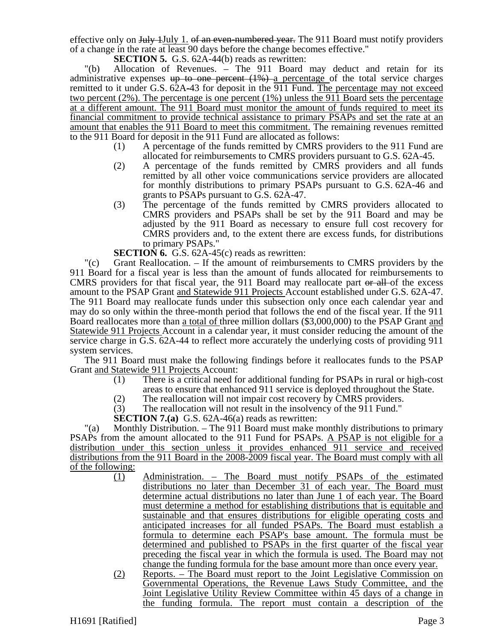effective only on July 1July 1. of an even-numbered year. The 911 Board must notify providers of a change in the rate at least 90 days before the change becomes effective."

**SECTION 5.** G.S. 62A-44(b) reads as rewritten:

"(b) Allocation of Revenues. – The 911 Board may deduct and retain for its administrative expenses  $up$  to one percent  $(1%)$  a percentage of the total service charges remitted to it under G.S. 62A-43 for deposit in the 911 Fund. The percentage may not exceed two percent (2%). The percentage is one percent (1%) unless the 911 Board sets the percentage at a different amount. The 911 Board must monitor the amount of funds required to meet its financial commitment to provide technical assistance to primary PSAPs and set the rate at an amount that enables the 911 Board to meet this commitment. The remaining revenues remitted to the 911 Board for deposit in the 911 Fund are allocated as follows:

- (1) A percentage of the funds remitted by CMRS providers to the 911 Fund are allocated for reimbursements to CMRS providers pursuant to G.S. 62A-45.
- (2) A percentage of the funds remitted by CMRS providers and all funds remitted by all other voice communications service providers are allocated for monthly distributions to primary PSAPs pursuant to G.S. 62A-46 and grants to PSAPs pursuant to G.S. 62A-47.
- (3) The percentage of the funds remitted by CMRS providers allocated to CMRS providers and PSAPs shall be set by the 911 Board and may be adjusted by the 911 Board as necessary to ensure full cost recovery for CMRS providers and, to the extent there are excess funds, for distributions to primary PSAPs."
- **SECTION 6.** G.S. 62A-45(c) reads as rewritten:

"(c) Grant Reallocation. – If the amount of reimbursements to CMRS providers by the 911 Board for a fiscal year is less than the amount of funds allocated for reimbursements to CMRS providers for that fiscal year, the 911 Board may reallocate part or all of the excess amount to the PSAP Grant and Statewide 911 Projects Account established under G.S. 62A-47. The 911 Board may reallocate funds under this subsection only once each calendar year and may do so only within the three-month period that follows the end of the fiscal year. If the 911 Board reallocates more than a total of three million dollars (\$3,000,000) to the PSAP Grant and Statewide 911 Projects Account in a calendar year, it must consider reducing the amount of the service charge in G.S. 62A-44 to reflect more accurately the underlying costs of providing 911 system services.

The 911 Board must make the following findings before it reallocates funds to the PSAP Grant and Statewide 911 Projects Account:

- (1) There is a critical need for additional funding for PSAPs in rural or high-cost areas to ensure that enhanced 911 service is deployed throughout the State.
- (2) The reallocation will not impair cost recovery by CMRS providers.
- (3) The reallocation will not result in the insolvency of the 911 Fund."

**SECTION 7.(a)** G.S. 62A-46(a) reads as rewritten:

"(a) Monthly Distribution. – The 911 Board must make monthly distributions to primary PSAPs from the amount allocated to the 911 Fund for PSAPs. A PSAP is not eligible for a distribution under this section unless it provides enhanced 911 service and received distributions from the 911 Board in the 2008-2009 fiscal year. The Board must comply with all of the following:

- (1) Administration. The Board must notify PSAPs of the estimated distributions no later than December 31 of each year. The Board must determine actual distributions no later than June 1 of each year. The Board must determine a method for establishing distributions that is equitable and sustainable and that ensures distributions for eligible operating costs and anticipated increases for all funded PSAPs. The Board must establish a formula to determine each PSAP's base amount. The formula must be determined and published to PSAPs in the first quarter of the fiscal year preceding the fiscal year in which the formula is used. The Board may not change the funding formula for the base amount more than once every year.
- (2) Reports. The Board must report to the Joint Legislative Commission on Governmental Operations, the Revenue Laws Study Committee, and the Joint Legislative Utility Review Committee within 45 days of a change in the funding formula. The report must contain a description of the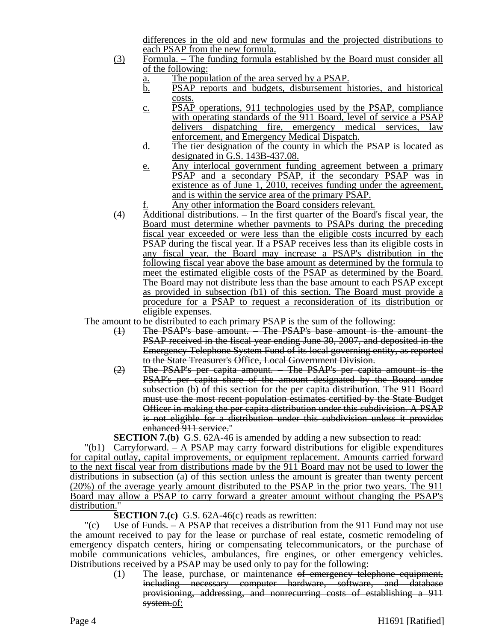differences in the old and new formulas and the projected distributions to each PSAP from the new formula.

- (3) Formula. The funding formula established by the Board must consider all of the following:
	- a. The population of the area served by a PSAP.
	- b. PSAP reports and budgets, disbursement histories, and historical costs.
	- c. PSAP operations, 911 technologies used by the PSAP, compliance with operating standards of the 911 Board, level of service a PSAP delivers dispatching fire, emergency medical services, law enforcement, and Emergency Medical Dispatch.
	- d. The tier designation of the county in which the PSAP is located as designated in G.S. 143B-437.08.
	- e. Any interlocal government funding agreement between a primary PSAP and a secondary PSAP, if the secondary PSAP was in existence as of June 1, 2010, receives funding under the agreement, and is within the service area of the primary PSAP.
	- Any other information the Board considers relevant.
- (4) Additional distributions. In the first quarter of the Board's fiscal year, the Board must determine whether payments to PSAPs during the preceding fiscal year exceeded or were less than the eligible costs incurred by each PSAP during the fiscal year. If a PSAP receives less than its eligible costs in any fiscal year, the Board may increase a PSAP's distribution in the following fiscal year above the base amount as determined by the formula to meet the estimated eligible costs of the PSAP as determined by the Board. The Board may not distribute less than the base amount to each PSAP except as provided in subsection (b1) of this section. The Board must provide a procedure for a PSAP to request a reconsideration of its distribution or eligible expenses.

The amount to be distributed to each primary PSAP is the sum of the following:

- (1) The PSAP's base amount. The PSAP's base amount is the amount the PSAP received in the fiscal year ending June 30, 2007, and deposited in the Emergency Telephone System Fund of its local governing entity, as reported to the State Treasurer's Office, Local Government Division.
- (2) The PSAP's per capita amount. The PSAP's per capita amount is the PSAP's per capita share of the amount designated by the Board under subsection (b) of this section for the per capita distribution. The 911 Board must use the most recent population estimates certified by the State Budget Officer in making the per capita distribution under this subdivision. A PSAP is not eligible for a distribution under this subdivision unless it provides enhanced 911 service."

**SECTION 7.(b)** G.S. 62A-46 is amended by adding a new subsection to read:

"(b1) Carryforward. – A PSAP may carry forward distributions for eligible expenditures for capital outlay, capital improvements, or equipment replacement. Amounts carried forward to the next fiscal year from distributions made by the 911 Board may not be used to lower the distributions in subsection (a) of this section unless the amount is greater than twenty percent (20%) of the average yearly amount distributed to the PSAP in the prior two years. The 911 Board may allow a PSAP to carry forward a greater amount without changing the PSAP's distribution.

**SECTION 7.(c)** G.S. 62A-46(c) reads as rewritten:

"(c) Use of Funds. – A PSAP that receives a distribution from the 911 Fund may not use the amount received to pay for the lease or purchase of real estate, cosmetic remodeling of emergency dispatch centers, hiring or compensating telecommunicators, or the purchase of mobile communications vehicles, ambulances, fire engines, or other emergency vehicles. Distributions received by a PSAP may be used only to pay for the following:

> (1) The lease, purchase, or maintenance of emergency telephone equipment, including necessary computer hardware, software, and database provisioning, addressing, and nonrecurring costs of establishing a 911 system.of: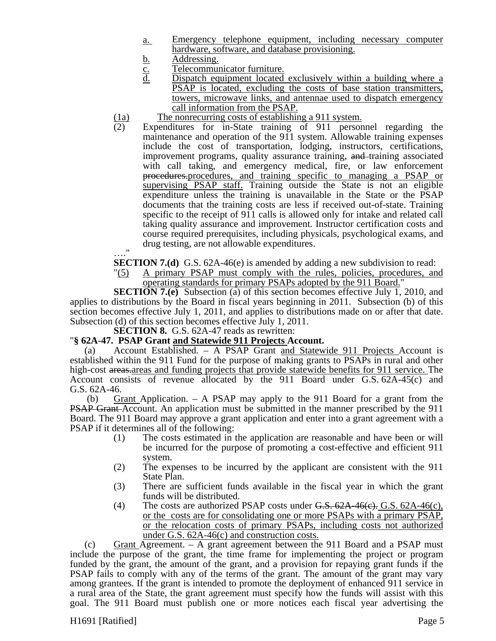- a. Emergency telephone equipment, including necessary computer hardware, software, and database provisioning.
- 
- <u>b.</u> Addressing.<br>
<u>C.</u> Telecommun<br>
d. Dispatch eq Telecommunicator furniture.
- Dispatch equipment located exclusively within a building where a PSAP is located, excluding the costs of base station transmitters, towers, microwave links, and antennae used to dispatch emergency call information from the PSAP.
- $\frac{(1a)}{(2)}$  The nonrecurring costs of establishing a 911 system.<br>(2) Expenditures for in-State training of 911 person
- Expenditures for in-State training of 911 personnel regarding the maintenance and operation of the 911 system. Allowable training expenses include the cost of transportation, lodging, instructors, certifications, improvement programs, quality assurance training, and training associated with call taking, and emergency medical, fire, or law enforcement procedures.procedures, and training specific to managing a PSAP or supervising PSAP staff. Training outside the State is not an eligible expenditure unless the training is unavailable in the State or the PSAP documents that the training costs are less if received out-of-state. Training specific to the receipt of 911 calls is allowed only for intake and related call taking quality assurance and improvement. Instructor certification costs and course required prerequisites, including physicals, psychological exams, and drug testing, are not allowable expenditures.
- …."

**SECTION 7.(d)** G.S. 62A-46(e) is amended by adding a new subdivision to read:

"(5) A primary PSAP must comply with the rules, policies, procedures, and operating standards for primary PSAPs adopted by the 911 Board."

**SECTION 7.(e)** Subsection (a) of this section becomes effective July 1, 2010, and applies to distributions by the Board in fiscal years beginning in 2011. Subsection (b) of this section becomes effective July 1, 2011, and applies to distributions made on or after that date. Subsection (d) of this section becomes effective July 1, 2011.

**SECTION 8.** G.S. 62A-47 reads as rewritten:

#### "**§ 62A-47. PSAP Grant and Statewide 911 Projects Account.**

(a) Account Established. – A PSAP Grant and Statewide 911 Projects Account is established within the 911 Fund for the purpose of making grants to PSAPs in rural and other high-cost areas, areas and funding projects that provide statewide benefits for 911 service. The Account consists of revenue allocated by the 911 Board under G.S. 62A-45(c) and G.S. 62A-46.

 (b) Grant Application. – A PSAP may apply to the 911 Board for a grant from the **PSAP Grant-Account.** An application must be submitted in the manner prescribed by the 911 Board. The 911 Board may approve a grant application and enter into a grant agreement with a PSAP if it determines all of the following:

- (1) The costs estimated in the application are reasonable and have been or will be incurred for the purpose of promoting a cost-effective and efficient 911 system.
- (2) The expenses to be incurred by the applicant are consistent with the 911 State Plan.
- (3) There are sufficient funds available in the fiscal year in which the grant funds will be distributed.
- (4) The costs are authorized PSAP costs under  $G.S. 62A-46(c)$ ,  $G.S. 62A-46(c)$ , or the costs are for consolidating one or more PSAPs with a primary PSAP, or the relocation costs of primary PSAPs, including costs not authorized under G.S. 62A-46(c) and construction costs.

(c) Grant Agreement. – A grant agreement between the 911 Board and a PSAP must include the purpose of the grant, the time frame for implementing the project or program funded by the grant, the amount of the grant, and a provision for repaying grant funds if the PSAP fails to comply with any of the terms of the grant. The amount of the grant may vary among grantees. If the grant is intended to promote the deployment of enhanced 911 service in a rural area of the State, the grant agreement must specify how the funds will assist with this goal. The 911 Board must publish one or more notices each fiscal year advertising the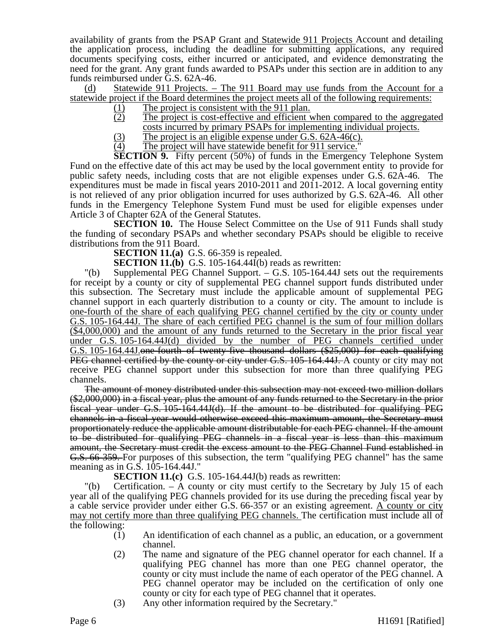availability of grants from the PSAP Grant and Statewide 911 Projects Account and detailing the application process, including the deadline for submitting applications, any required documents specifying costs, either incurred or anticipated, and evidence demonstrating the need for the grant. Any grant funds awarded to PSAPs under this section are in addition to any funds reimbursed under G.S. 62A-46.

(d) Statewide 911 Projects. – The 911 Board may use funds from the Account for a statewide project if the Board determines the project meets all of the following requirements:

- $\frac{(1)}{(2)}$  The project is consistent with the 911 plan.<br>The project is cost-effective and efficient
- The project is cost-effective and efficient when compared to the aggregated costs incurred by primary PSAPs for implementing individual projects.
- $(3)$  The project is an eligible expense under G.S. 62A-46(c).<br>
(4) The project will have statewide benefit for 911 service."
- The project will have statewide benefit for 911 service."

**SECTION 9.** Fifty percent (50%) of funds in the Emergency Telephone System Fund on the effective date of this act may be used by the local government entity to provide for public safety needs, including costs that are not eligible expenses under G.S. 62A-46. The expenditures must be made in fiscal years 2010-2011 and 2011-2012. A local governing entity is not relieved of any prior obligation incurred for uses authorized by G.S. 62A-46. All other funds in the Emergency Telephone System Fund must be used for eligible expenses under Article 3 of Chapter 62A of the General Statutes.

**SECTION 10.** The House Select Committee on the Use of 911 Funds shall study the funding of secondary PSAPs and whether secondary PSAPs should be eligible to receive distributions from the 911 Board.

**SECTION 11.(a)** G.S. 66-359 is repealed.

**SECTION 11.(b)** G.S. 105-164.44I(b) reads as rewritten:

"(b) Supplemental PEG Channel Support. – G.S. 105-164.44J sets out the requirements for receipt by a county or city of supplemental PEG channel support funds distributed under this subsection. The Secretary must include the applicable amount of supplemental PEG channel support in each quarterly distribution to a county or city. The amount to include is one-fourth of the share of each qualifying PEG channel certified by the city or county under G.S. 105-164.44J. The share of each certified PEG channel is the sum of four million dollars (\$4,000,000) and the amount of any funds returned to the Secretary in the prior fiscal year under G.S. 105-164.44J(d) divided by the number of PEG channels certified under G.S. 105-164.44J.one-fourth of twenty-five thousand dollars (\$25,000) for each qualifying PEG channel certified by the county or city under G.S. 105-164.44J. A county or city may not receive PEG channel support under this subsection for more than three qualifying PEG channels.

The amount of money distributed under this subsection may not exceed two million dollars (\$2,000,000) in a fiscal year, plus the amount of any funds returned to the Secretary in the prior fiscal year under G.S. 105-164.44J(d). If the amount to be distributed for qualifying PEG channels in a fiscal year would otherwise exceed this maximum amount, the Secretary must proportionately reduce the applicable amount distributable for each PEG channel. If the amount to be distributed for qualifying PEG channels in a fiscal year is less than this maximum amount, the Secretary must credit the excess amount to the PEG Channel Fund established in G.S. 66-359. For purposes of this subsection, the term "qualifying PEG channel" has the same meaning as in G.S. 105-164.44J."

**SECTION 11.(c)** G.S. 105-164.44J(b) reads as rewritten:

"(b) Certification. – A county or city must certify to the Secretary by July 15 of each year all of the qualifying PEG channels provided for its use during the preceding fiscal year by a cable service provider under either G.S. 66-357 or an existing agreement. A county or city may not certify more than three qualifying PEG channels. The certification must include all of the following:

- (1) An identification of each channel as a public, an education, or a government channel.
- (2) The name and signature of the PEG channel operator for each channel. If a qualifying PEG channel has more than one PEG channel operator, the county or city must include the name of each operator of the PEG channel. A PEG channel operator may be included on the certification of only one county or city for each type of PEG channel that it operates.
- (3) Any other information required by the Secretary."